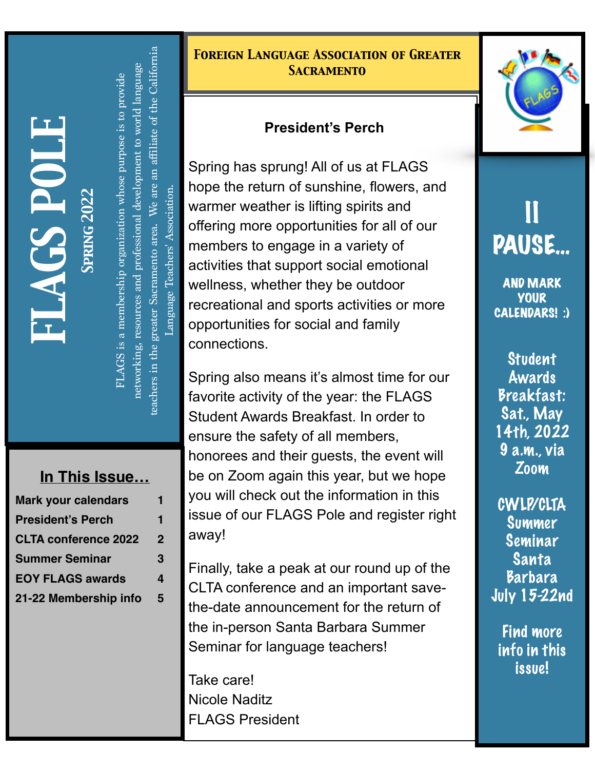*FLAGS POL E* 

*Spring 202*

*2* 

teachers in the greater Sacramento area. We are an affiliate of the California teachers in the greater Sacramento area. We are an affiliate of the California networking, resources and professional development to world language networking, resources and professional development to world language FLAGS is a membership organization whose purpose is to provide FLAGS is a membership organization whose purpose is to provide anguage Teachers' Association. Language Teachers' Association.

### **In This Issue…**

| <b>Mark your calendars</b>  | 1 |
|-----------------------------|---|
| <b>President's Perch</b>    | 1 |
| <b>CLTA conference 2022</b> | 2 |
| <b>Summer Seminar</b>       | 3 |
| <b>EOY FLAGS awards</b>     | 4 |
| 21-22 Membership info       | 5 |

#### *Foreign Language Association of Greater Sacramento*

### **President's Perch**

Spring has sprung! All of us at FLAGS hope the return of sunshine, flowers, and warmer weather is lifting spirits and offering more opportunities for all of our members to engage in a variety of activities that support social emotional wellness, whether they be outdoor recreational and sports activities or more opportunities for social and family connections.

Spring also means it's almost time for our favorite activity of the year: the FLAGS Student Awards Breakfast. In order to ensure the safety of all members, honorees and their guests, the event will be on Zoom again this year, but we hope you will check out the information in this issue of our FLAGS Pole and register right away!

Finally, take a peak at our round up of the CLTA conference and an important savethe-date announcement for the return of the in-person Santa Barbara Summer Seminar for language teachers!

Take care! Nicole Naditz FLAGS President



### II PAUSE…

AND MARK YOUR CALENDARS! :)

Student Awards Breakfast: Sat., May 14th, 2022 9 a.m., via Zoom

CWLP/CLTA Summer Seminar **Santa** Barbara July 15-22nd

Find more info in this issue!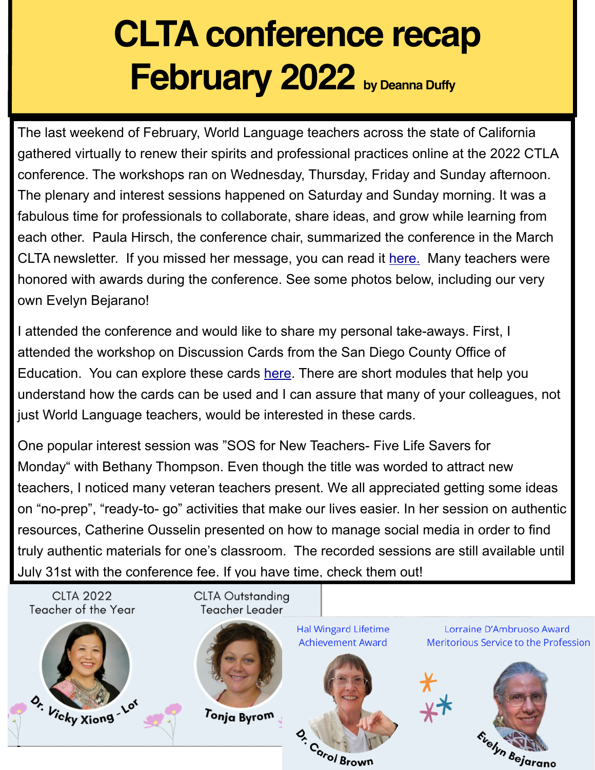# **CLTA conference recap February 2022 by Deanna Duffy**

The last weekend of February, World Language teachers across the state of California gathered virtually to renew their spirits and professional practices online at the 2022 CTLA conference. The workshops ran on Wednesday, Thursday, Friday and Sunday afternoon. The plenary and interest sessions happened on Saturday and Sunday morning. It was a fabulous time for professionals to collaborate, share ideas, and grow while learning from each other. Paula Hirsch, the conference chair, summarized the conference in the March CLTA newsletter. If you missed her message, you can read it [here.](https://docs.google.com/document/d/1bBHCmHVkNug3XghMbKnfNCSbvALprMJmqGab8a7rEos/edit?usp=sharing) Many teachers were honored with awards during the conference. See some photos below, including our very own Evelyn Bejarano!

I attended the conference and would like to share my personal take-aways. First, I attended the workshop on Discussion Cards from the San Diego County Office of Education. You can explore these cards [here.](https://www.sdcoe.net/educators/multilingual-education-and-global-achievement/ccee-discussion-cards) There are short modules that help you understand how the cards can be used and I can assure that many of your colleagues, not just World Language teachers, would be interested in these cards.

One popular interest session was "SOS for New Teachers- Five Life Savers for Monday" with Bethany Thompson. Even though the title was worded to attract new teachers, I noticed many veteran teachers present. We all appreciated getting some ideas on "no-prep", "ready-to- go" activities that make our lives easier. In her session on authentic resources, Catherine Ousselin presented on how to manage social media in order to find truly authentic materials for one's classroom. The recorded sessions are still available until July 31st with the conference fee. If you have time, check them out!

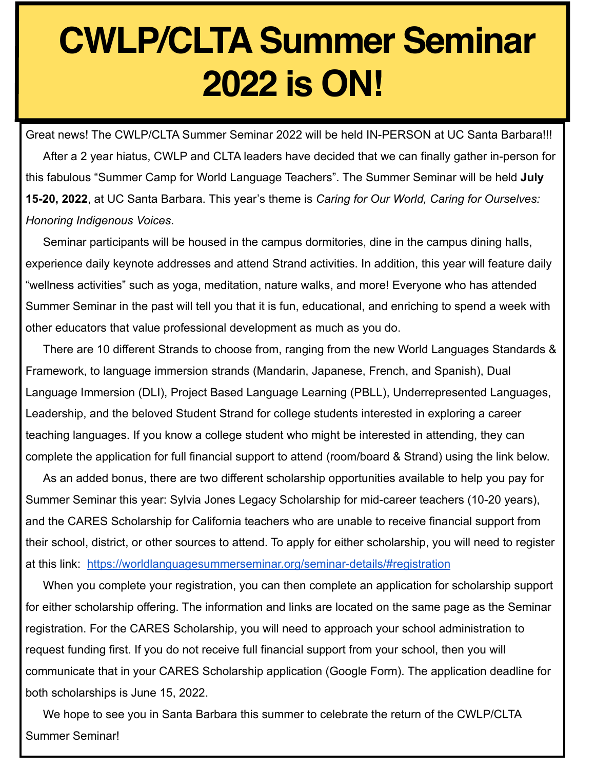# **CWLP/CLTA Summer Seminar 2022 is ON!**

Great news! The CWLP/CLTA Summer Seminar 2022 will be held IN-PERSON at UC Santa Barbara!!! After a 2 year hiatus, CWLP and CLTA leaders have decided that we can finally gather in-person for this fabulous "Summer Camp for World Language Teachers". The Summer Seminar will be held **July 15-20, 2022**, at UC Santa Barbara. This year's theme is *Caring for Our World, Caring for Ourselves: Honoring Indigenous Voices*.

Seminar participants will be housed in the campus dormitories, dine in the campus dining halls, experience daily keynote addresses and attend Strand activities. In addition, this year will feature daily "wellness activities" such as yoga, meditation, nature walks, and more! Everyone who has attended Summer Seminar in the past will tell you that it is fun, educational, and enriching to spend a week with other educators that value professional development as much as you do.

There are 10 different Strands to choose from, ranging from the new World Languages Standards & Framework, to language immersion strands (Mandarin, Japanese, French, and Spanish), Dual Language Immersion (DLI), Project Based Language Learning (PBLL), Underrepresented Languages, Leadership, and the beloved Student Strand for college students interested in exploring a career teaching languages. If you know a college student who might be interested in attending, they can complete the application for full financial support to attend (room/board & Strand) using the link below.

As an added bonus, there are two different scholarship opportunities available to help you pay for Summer Seminar this year: Sylvia Jones Legacy Scholarship for mid-career teachers (10-20 years), and the CARES Scholarship for California teachers who are unable to receive financial support from their school, district, or other sources to attend. To apply for either scholarship, you will need to register at this link: <https://worldlanguagesummerseminar.org/seminar-details/#registration>

When you complete your registration, you can then complete an application for scholarship support for either scholarship offering. The information and links are located on the same page as the Seminar registration. For the CARES Scholarship, you will need to approach your school administration to request funding first. If you do not receive full financial support from your school, then you will communicate that in your CARES Scholarship application (Google Form). The application deadline for both scholarships is June 15, 2022.

We hope to see you in Santa Barbara this summer to celebrate the return of the CWLP/CLTA Summer Seminar!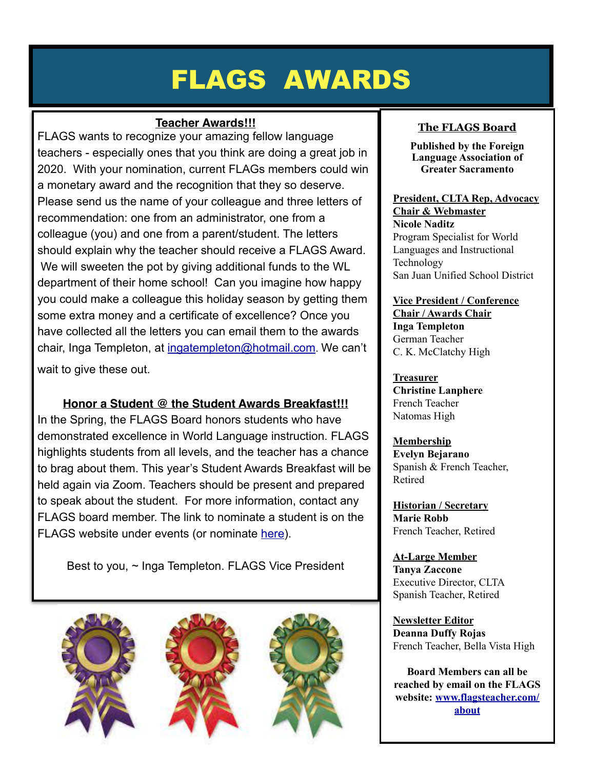## FLAGS AWARDS

#### **Teacher Awards!!!**

FLAGS wants to recognize your amazing fellow language teachers - especially ones that you think are doing a great job in 2020. With your nomination, current FLAGs members could win a monetary award and the recognition that they so deserve. Please send us the name of your colleague and three letters of recommendation: one from an administrator, one from a colleague (you) and one from a parent/student. The letters should explain why the teacher should receive a FLAGS Award. We will sweeten the pot by giving additional funds to the WL department of their home school! Can you imagine how happy you could make a colleague this holiday season by getting them some extra money and a certificate of excellence? Once you have collected all the letters you can email them to the awards chair, Inga Templeton, at [ingatempleton@hotmail.com](mailto:ingatempleton@hotmail.com). We can't wait to give these out.

**Honor a Student @ the Student Awards Breakfast!!!**  In the Spring, the FLAGS Board honors students who have demonstrated excellence in World Language instruction. FLAGS highlights students from all levels, and the teacher has a chance to brag about them. This year's Student Awards Breakfast will be held again via Zoom. Teachers should be present and prepared to speak about the student. For more information, contact any FLAGS board member. The link to nominate a student is on the FLAGS website under events (or nominate [here\)](https://docs.google.com/forms/d/e/1FAIpQLSdOGUIe9XeQLNePdIAQbPO8WHXLC7FcbsdkJlMVtabWM2G7lw/viewform).

Best to you, ~ Inga Templeton. FLAGS Vice President



#### **The FLAGS Board**

**Published by the Foreign Language Association of Greater Sacramento**

**President, CLTA Rep, Advocacy Chair & Webmaster Nicole Naditz** Program Specialist for World Languages and Instructional Technology San Juan Unified School District

#### **Vice President / Conference Chair / Awards Chair**

**Inga Templeton** German Teacher C. K. McClatchy High

**Treasurer**

**Christine Lanphere** French Teacher Natomas High

#### **Membership**

**Evelyn Bejarano** Spanish & French Teacher, Retired

**Historian / Secretary Marie Robb** French Teacher, Retired

#### **At-Large Member Tanya Zaccone** Executive Director, CLTA Spanish Teacher, Retired

**Newsletter Editor Deanna Duffy Rojas** French Teacher, Bella Vista High

**Board Members can all be reached by email on the FLAGS website: [www.flagsteacher.com/](http://www.flagsteacher.com/about) [about](http://www.flagsteacher.com/about)**